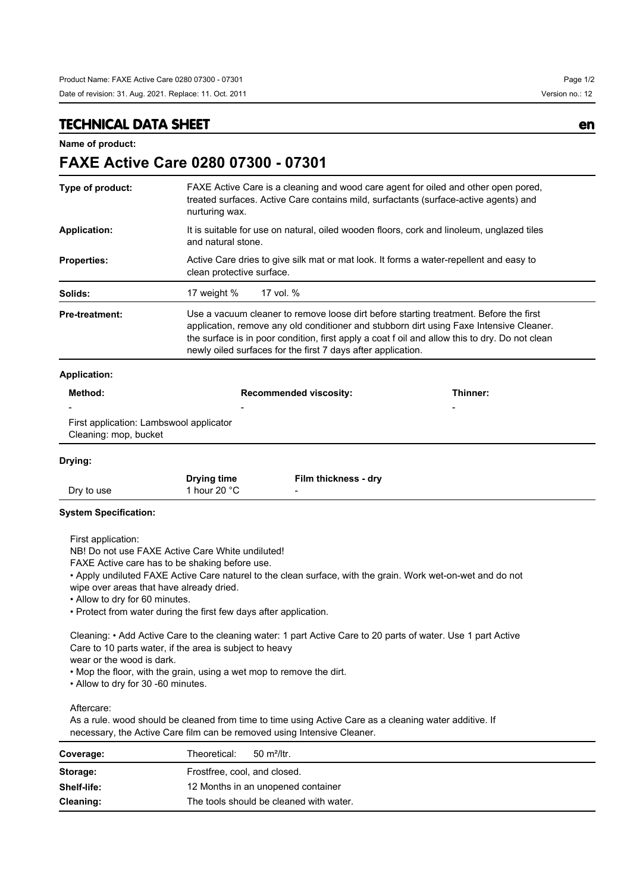**TECHNICAL DATA SHEET en**

**Name of product:**

## **FAXE Active Care 0280 07300 - 07301**

| Type of product:                                                                                                                                                    | nurturing wax.                                                                                                                                                                                                                                                                                             | FAXE Active Care is a cleaning and wood care agent for oiled and other open pored,<br>treated surfaces. Active Care contains mild, surfactants (surface-active agents) and                                                                                                                                                                         |          |  |  |
|---------------------------------------------------------------------------------------------------------------------------------------------------------------------|------------------------------------------------------------------------------------------------------------------------------------------------------------------------------------------------------------------------------------------------------------------------------------------------------------|----------------------------------------------------------------------------------------------------------------------------------------------------------------------------------------------------------------------------------------------------------------------------------------------------------------------------------------------------|----------|--|--|
| <b>Application:</b>                                                                                                                                                 |                                                                                                                                                                                                                                                                                                            | It is suitable for use on natural, oiled wooden floors, cork and linoleum, unglazed tiles<br>and natural stone.                                                                                                                                                                                                                                    |          |  |  |
| <b>Properties:</b>                                                                                                                                                  |                                                                                                                                                                                                                                                                                                            | Active Care dries to give silk mat or mat look. It forms a water-repellent and easy to<br>clean protective surface.                                                                                                                                                                                                                                |          |  |  |
| Solids:                                                                                                                                                             | 17 weight %                                                                                                                                                                                                                                                                                                | 17 vol. %                                                                                                                                                                                                                                                                                                                                          |          |  |  |
| <b>Pre-treatment:</b>                                                                                                                                               |                                                                                                                                                                                                                                                                                                            | Use a vacuum cleaner to remove loose dirt before starting treatment. Before the first<br>application, remove any old conditioner and stubborn dirt using Faxe Intensive Cleaner.<br>the surface is in poor condition, first apply a coat f oil and allow this to dry. Do not clean<br>newly oiled surfaces for the first 7 days after application. |          |  |  |
| <b>Application:</b>                                                                                                                                                 |                                                                                                                                                                                                                                                                                                            |                                                                                                                                                                                                                                                                                                                                                    |          |  |  |
| Method:                                                                                                                                                             |                                                                                                                                                                                                                                                                                                            | <b>Recommended viscosity:</b>                                                                                                                                                                                                                                                                                                                      | Thinner: |  |  |
| First application: Lambswool applicator<br>Cleaning: mop, bucket                                                                                                    |                                                                                                                                                                                                                                                                                                            |                                                                                                                                                                                                                                                                                                                                                    |          |  |  |
| Drying:                                                                                                                                                             |                                                                                                                                                                                                                                                                                                            |                                                                                                                                                                                                                                                                                                                                                    |          |  |  |
| Dry to use                                                                                                                                                          | <b>Drying time</b><br>1 hour 20 $°C$                                                                                                                                                                                                                                                                       | Film thickness - dry                                                                                                                                                                                                                                                                                                                               |          |  |  |
| <b>System Specification:</b>                                                                                                                                        |                                                                                                                                                                                                                                                                                                            |                                                                                                                                                                                                                                                                                                                                                    |          |  |  |
| First application:<br>wipe over areas that have already dried.<br>• Allow to dry for 60 minutes.<br>wear or the wood is dark.<br>• Allow to dry for 30 -60 minutes. | NB! Do not use FAXE Active Care White undiluted!<br>FAXE Active care has to be shaking before use.<br>• Protect from water during the first few days after application.<br>Care to 10 parts water, if the area is subject to heavy<br>. Mop the floor, with the grain, using a wet mop to remove the dirt. | • Apply undiluted FAXE Active Care naturel to the clean surface, with the grain. Work wet-on-wet and do not<br>Cleaning: • Add Active Care to the cleaning water: 1 part Active Care to 20 parts of water. Use 1 part Active                                                                                                                       |          |  |  |

Aftercare:

As a rule. wood should be cleaned from time to time using Active Care as a cleaning water additive. If necessary, the Active Care film can be removed using Intensive Cleaner.

| Coverage:          | Theoretical:<br>$50 \text{ m}^2$ /ltr.  |  |  |
|--------------------|-----------------------------------------|--|--|
| Storage:           | Frostfree, cool, and closed.            |  |  |
| <b>Shelf-life:</b> | 12 Months in an unopened container      |  |  |
| Cleaning:          | The tools should be cleaned with water. |  |  |

Date of revision: 31. Aug. 2021. Replace: 11. Oct. 2011 Case of the Case of the Version no.: 12